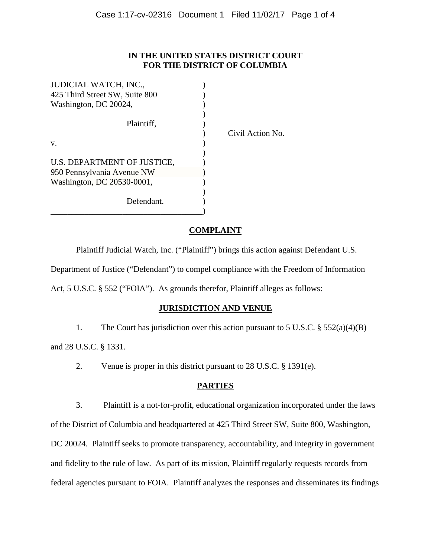## **IN THE UNITED STATES DISTRICT COURT FOR THE DISTRICT OF COLUMBIA**

| JUDICIAL WATCH, INC.,          |       |
|--------------------------------|-------|
| 425 Third Street SW, Suite 800 |       |
| Washington, DC 20024,          |       |
|                                |       |
| Plaintiff.                     |       |
|                                | Civil |
| V.                             |       |
|                                |       |
| U.S. DEPARTMENT OF JUSTICE,    |       |
| 950 Pennsylvania Avenue NW     |       |
| Washington, DC 20530-0001,     |       |
|                                |       |
| Defendant.                     |       |
|                                |       |

Action No.

## **COMPLAINT**

Plaintiff Judicial Watch, Inc. ("Plaintiff") brings this action against Defendant U.S.

Department of Justice ("Defendant") to compel compliance with the Freedom of Information

Act, 5 U.S.C. § 552 ("FOIA"). As grounds therefor, Plaintiff alleges as follows:

# **JURISDICTION AND VENUE**

1. The Court has jurisdiction over this action pursuant to 5 U.S.C. § 552(a)(4)(B)

and 28 U.S.C. § 1331.

2. Venue is proper in this district pursuant to 28 U.S.C. § 1391(e).

# **PARTIES**

3. Plaintiff is a not-for-profit, educational organization incorporated under the laws of the District of Columbia and headquartered at 425 Third Street SW, Suite 800, Washington, DC 20024. Plaintiff seeks to promote transparency, accountability, and integrity in government and fidelity to the rule of law. As part of its mission, Plaintiff regularly requests records from federal agencies pursuant to FOIA. Plaintiff analyzes the responses and disseminates its findings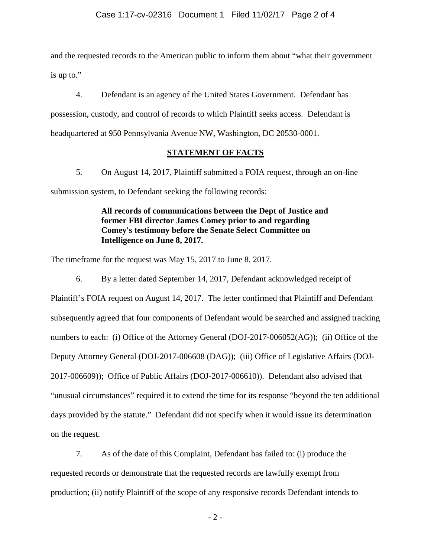and the requested records to the American public to inform them about "what their government is up to."

4. Defendant is an agency of the United States Government. Defendant has possession, custody, and control of records to which Plaintiff seeks access. Defendant is headquartered at 950 Pennsylvania Avenue NW, Washington, DC 20530-0001.

## **STATEMENT OF FACTS**

5. On August 14, 2017, Plaintiff submitted a FOIA request, through an on-line submission system, to Defendant seeking the following records:

> **All records of communications between the Dept of Justice and former FBI director James Comey prior to and regarding Comey's testimony before the Senate Select Committee on Intelligence on June 8, 2017.**

The timeframe for the request was May 15, 2017 to June 8, 2017.

6. By a letter dated September 14, 2017, Defendant acknowledged receipt of Plaintiff's FOIA request on August 14, 2017. The letter confirmed that Plaintiff and Defendant subsequently agreed that four components of Defendant would be searched and assigned tracking numbers to each: (i) Office of the Attorney General (DOJ-2017-006052(AG)); (ii) Office of the Deputy Attorney General (DOJ-2017-006608 (DAG)); (iii) Office of Legislative Affairs (DOJ-2017-006609)); Office of Public Affairs (DOJ-2017-006610)). Defendant also advised that "unusual circumstances" required it to extend the time for its response "beyond the ten additional days provided by the statute." Defendant did not specify when it would issue its determination on the request.

7. As of the date of this Complaint, Defendant has failed to: (i) produce the requested records or demonstrate that the requested records are lawfully exempt from production; (ii) notify Plaintiff of the scope of any responsive records Defendant intends to

- 2 -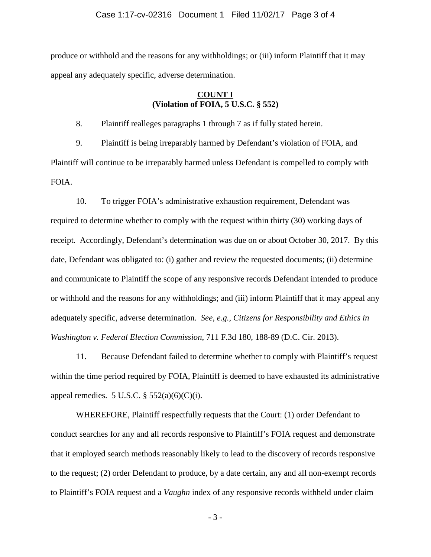produce or withhold and the reasons for any withholdings; or (iii) inform Plaintiff that it may appeal any adequately specific, adverse determination.

#### **COUNT I (Violation of FOIA, 5 U.S.C. § 552)**

8. Plaintiff realleges paragraphs 1 through 7 as if fully stated herein.

9. Plaintiff is being irreparably harmed by Defendant's violation of FOIA, and Plaintiff will continue to be irreparably harmed unless Defendant is compelled to comply with FOIA.

10. To trigger FOIA's administrative exhaustion requirement, Defendant was required to determine whether to comply with the request within thirty (30) working days of receipt. Accordingly, Defendant's determination was due on or about October 30, 2017. By this date, Defendant was obligated to: (i) gather and review the requested documents; (ii) determine and communicate to Plaintiff the scope of any responsive records Defendant intended to produce or withhold and the reasons for any withholdings; and (iii) inform Plaintiff that it may appeal any adequately specific, adverse determination. *See*, *e.g.*, *Citizens for Responsibility and Ethics in Washington v. Federal Election Commission*, 711 F.3d 180, 188-89 (D.C. Cir. 2013).

11. Because Defendant failed to determine whether to comply with Plaintiff's request within the time period required by FOIA, Plaintiff is deemed to have exhausted its administrative appeal remedies. 5 U.S.C.  $\S$  552(a)(6)(C)(i).

WHEREFORE, Plaintiff respectfully requests that the Court: (1) order Defendant to conduct searches for any and all records responsive to Plaintiff's FOIA request and demonstrate that it employed search methods reasonably likely to lead to the discovery of records responsive to the request; (2) order Defendant to produce, by a date certain, any and all non-exempt records to Plaintiff's FOIA request and a *Vaughn* index of any responsive records withheld under claim

- 3 -